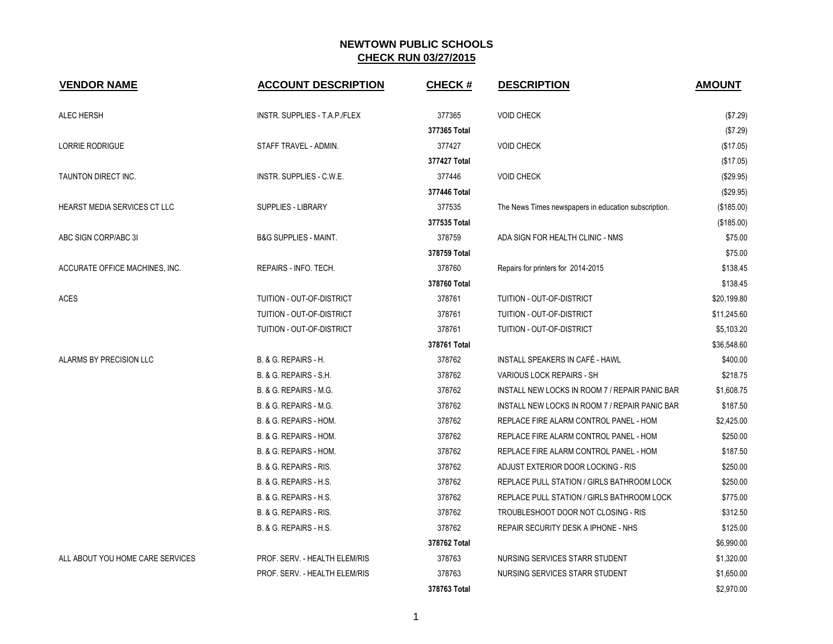| <b>VENDOR NAME</b>               | <b>ACCOUNT DESCRIPTION</b>       | <b>CHECK#</b> | <b>DESCRIPTION</b>                                   | <b>AMOUNT</b> |
|----------------------------------|----------------------------------|---------------|------------------------------------------------------|---------------|
| <b>ALEC HERSH</b>                | INSTR. SUPPLIES - T.A.P./FLEX    | 377365        | <b>VOID CHECK</b>                                    | (\$7.29)      |
|                                  |                                  | 377365 Total  |                                                      | (\$7.29)      |
| <b>LORRIE RODRIGUE</b>           | STAFF TRAVEL - ADMIN.            | 377427        | <b>VOID CHECK</b>                                    | (\$17.05)     |
|                                  |                                  | 377427 Total  |                                                      | (\$17.05)     |
| TAUNTON DIRECT INC.              | INSTR. SUPPLIES - C.W.E.         | 377446        | <b>VOID CHECK</b>                                    | (\$29.95)     |
|                                  |                                  | 377446 Total  |                                                      | (\$29.95)     |
| HEARST MEDIA SERVICES CT LLC     | SUPPLIES - LIBRARY               | 377535        | The News Times newspapers in education subscription. | (\$185.00)    |
|                                  |                                  | 377535 Total  |                                                      | (\$185.00)    |
| ABC SIGN CORP/ABC 3I             | <b>B&amp;G SUPPLIES - MAINT.</b> | 378759        | ADA SIGN FOR HEALTH CLINIC - NMS                     | \$75.00       |
|                                  |                                  | 378759 Total  |                                                      | \$75.00       |
| ACCURATE OFFICE MACHINES, INC.   | REPAIRS - INFO. TECH.            | 378760        | Repairs for printers for 2014-2015                   | \$138.45      |
|                                  |                                  | 378760 Total  |                                                      | \$138.45      |
| <b>ACES</b>                      | TUITION - OUT-OF-DISTRICT        | 378761        | TUITION - OUT-OF-DISTRICT                            | \$20,199.80   |
|                                  | TUITION - OUT-OF-DISTRICT        | 378761        | TUITION - OUT-OF-DISTRICT                            | \$11,245.60   |
|                                  | TUITION - OUT-OF-DISTRICT        | 378761        | TUITION - OUT-OF-DISTRICT                            | \$5,103.20    |
|                                  |                                  | 378761 Total  |                                                      | \$36,548.60   |
| ALARMS BY PRECISION LLC          | B. & G. REPAIRS - H.             | 378762        | INSTALL SPEAKERS IN CAFÉ - HAWL                      | \$400.00      |
|                                  | B. & G. REPAIRS - S.H.           | 378762        | <b>VARIOUS LOCK REPAIRS - SH</b>                     | \$218.75      |
|                                  | B. & G. REPAIRS - M.G.           | 378762        | INSTALL NEW LOCKS IN ROOM 7 / REPAIR PANIC BAR       | \$1,608.75    |
|                                  | B. & G. REPAIRS - M.G.           | 378762        | INSTALL NEW LOCKS IN ROOM 7 / REPAIR PANIC BAR       | \$187.50      |
|                                  | B. & G. REPAIRS - HOM.           | 378762        | REPLACE FIRE ALARM CONTROL PANEL - HOM               | \$2,425.00    |
|                                  | B. & G. REPAIRS - HOM.           | 378762        | REPLACE FIRE ALARM CONTROL PANEL - HOM               | \$250.00      |
|                                  | B. & G. REPAIRS - HOM.           | 378762        | REPLACE FIRE ALARM CONTROL PANEL - HOM               | \$187.50      |
|                                  | B. & G. REPAIRS - RIS.           | 378762        | ADJUST EXTERIOR DOOR LOCKING - RIS                   | \$250.00      |
|                                  | B. & G. REPAIRS - H.S.           | 378762        | REPLACE PULL STATION / GIRLS BATHROOM LOCK           | \$250.00      |
|                                  | B. & G. REPAIRS - H.S.           | 378762        | REPLACE PULL STATION / GIRLS BATHROOM LOCK           | \$775.00      |
|                                  | B. & G. REPAIRS - RIS.           | 378762        | TROUBLESHOOT DOOR NOT CLOSING - RIS                  | \$312.50      |
|                                  | B. & G. REPAIRS - H.S.           | 378762        | REPAIR SECURITY DESK A IPHONE - NHS                  | \$125.00      |
|                                  |                                  | 378762 Total  |                                                      | \$6,990.00    |
| ALL ABOUT YOU HOME CARE SERVICES | PROF. SERV. - HEALTH ELEM/RIS    | 378763        | NURSING SERVICES STARR STUDENT                       | \$1,320.00    |
|                                  | PROF. SERV. - HEALTH ELEM/RIS    | 378763        | NURSING SERVICES STARR STUDENT                       | \$1,650.00    |
|                                  |                                  | 378763 Total  |                                                      | \$2,970.00    |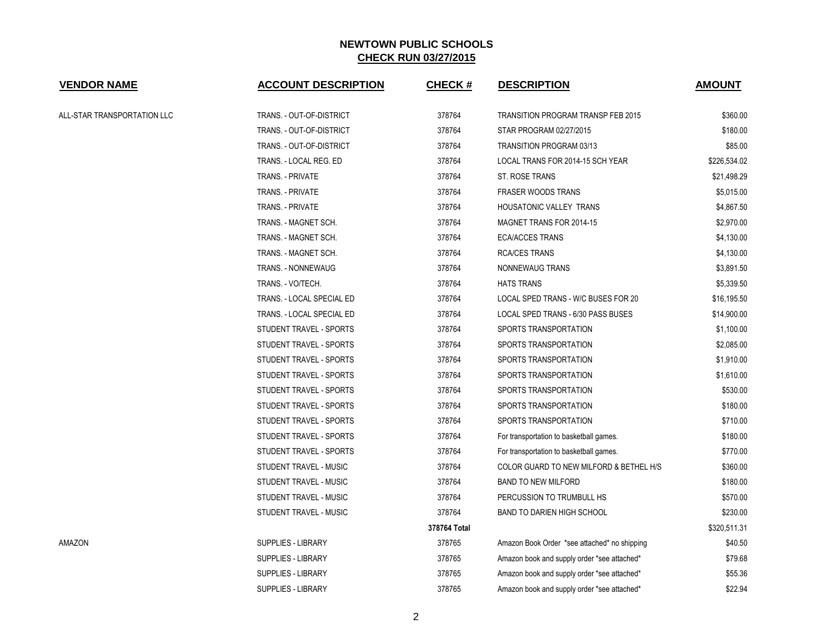| <b>VENDOR NAME</b>          | <b>ACCOUNT DESCRIPTION</b> | <b>CHECK#</b> | <b>DESCRIPTION</b>                           | <b>AMOUNT</b> |
|-----------------------------|----------------------------|---------------|----------------------------------------------|---------------|
| ALL-STAR TRANSPORTATION LLC | TRANS. - OUT-OF-DISTRICT   | 378764        | TRANSITION PROGRAM TRANSP FEB 2015           | \$360.00      |
|                             | TRANS. - OUT-OF-DISTRICT   | 378764        | STAR PROGRAM 02/27/2015                      | \$180.00      |
|                             | TRANS. - OUT-OF-DISTRICT   | 378764        | TRANSITION PROGRAM 03/13                     | \$85.00       |
|                             | TRANS. - LOCAL REG. ED     | 378764        | LOCAL TRANS FOR 2014-15 SCH YEAR             | \$226,534.02  |
|                             | TRANS. - PRIVATE           | 378764        | ST. ROSE TRANS                               | \$21,498.29   |
|                             | TRANS. - PRIVATE           | 378764        | <b>FRASER WOODS TRANS</b>                    | \$5,015.00    |
|                             | TRANS. - PRIVATE           | 378764        | HOUSATONIC VALLEY TRANS                      | \$4,867.50    |
|                             | TRANS. - MAGNET SCH.       | 378764        | MAGNET TRANS FOR 2014-15                     | \$2,970.00    |
|                             | TRANS. - MAGNET SCH.       | 378764        | <b>ECA/ACCES TRANS</b>                       | \$4,130.00    |
|                             | TRANS. - MAGNET SCH.       | 378764        | <b>RCA/CES TRANS</b>                         | \$4,130.00    |
|                             | TRANS. - NONNEWAUG         | 378764        | NONNEWAUG TRANS                              | \$3,891.50    |
|                             | TRANS. - VO/TECH.          | 378764        | <b>HATS TRANS</b>                            | \$5,339.50    |
|                             | TRANS. - LOCAL SPECIAL ED  | 378764        | LOCAL SPED TRANS - W/C BUSES FOR 20          | \$16,195.50   |
|                             | TRANS. - LOCAL SPECIAL ED  | 378764        | LOCAL SPED TRANS - 6/30 PASS BUSES           | \$14,900.00   |
|                             | STUDENT TRAVEL - SPORTS    | 378764        | SPORTS TRANSPORTATION                        | \$1,100.00    |
|                             | STUDENT TRAVEL - SPORTS    | 378764        | SPORTS TRANSPORTATION                        | \$2,085.00    |
|                             | STUDENT TRAVEL - SPORTS    | 378764        | SPORTS TRANSPORTATION                        | \$1,910.00    |
|                             | STUDENT TRAVEL - SPORTS    | 378764        | SPORTS TRANSPORTATION                        | \$1,610.00    |
|                             | STUDENT TRAVEL - SPORTS    | 378764        | SPORTS TRANSPORTATION                        | \$530.00      |
|                             | STUDENT TRAVEL - SPORTS    | 378764        | SPORTS TRANSPORTATION                        | \$180.00      |
|                             | STUDENT TRAVEL - SPORTS    | 378764        | SPORTS TRANSPORTATION                        | \$710.00      |
|                             | STUDENT TRAVEL - SPORTS    | 378764        | For transportation to basketball games.      | \$180.00      |
|                             | STUDENT TRAVEL - SPORTS    | 378764        | For transportation to basketball games.      | \$770.00      |
|                             | STUDENT TRAVEL - MUSIC     | 378764        | COLOR GUARD TO NEW MILFORD & BETHEL H/S      | \$360.00      |
|                             | STUDENT TRAVEL - MUSIC     | 378764        | <b>BAND TO NEW MILFORD</b>                   | \$180.00      |
|                             | STUDENT TRAVEL - MUSIC     | 378764        | PERCUSSION TO TRUMBULL HS                    | \$570.00      |
|                             | STUDENT TRAVEL - MUSIC     | 378764        | <b>BAND TO DARIEN HIGH SCHOOL</b>            | \$230.00      |
|                             |                            | 378764 Total  |                                              | \$320,511.31  |
| AMAZON                      | SUPPLIES - LIBRARY         | 378765        | Amazon Book Order *see attached* no shipping | \$40.50       |
|                             | <b>SUPPLIES - LIBRARY</b>  | 378765        | Amazon book and supply order *see attached*  | \$79.68       |
|                             | <b>SUPPLIES - LIBRARY</b>  | 378765        | Amazon book and supply order *see attached*  | \$55.36       |
|                             | <b>SUPPLIES - LIBRARY</b>  | 378765        | Amazon book and supply order *see attached*  | \$22.94       |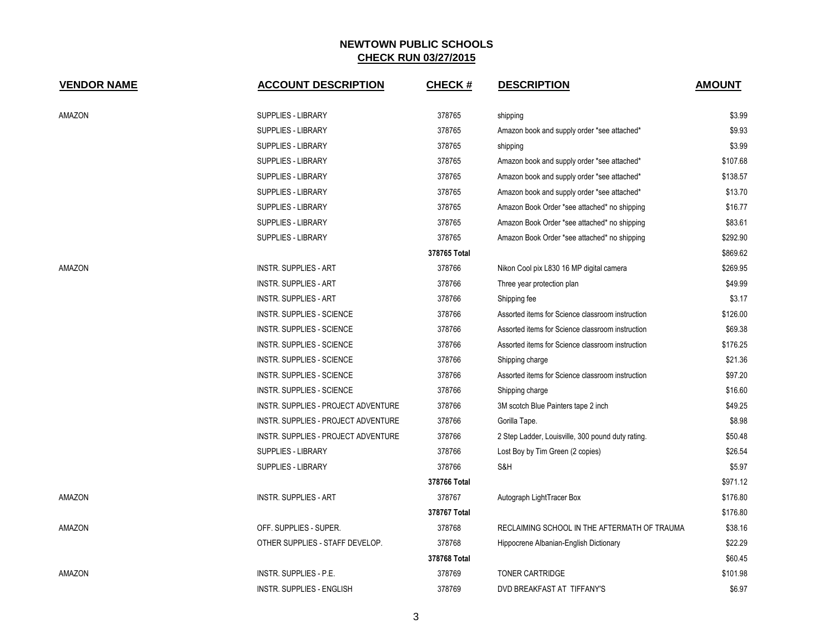| <b>VENDOR NAME</b> | <b>ACCOUNT DESCRIPTION</b>          | <b>CHECK#</b> | <b>DESCRIPTION</b>                                | <b>AMOUNT</b> |
|--------------------|-------------------------------------|---------------|---------------------------------------------------|---------------|
| AMAZON             | SUPPLIES - LIBRARY                  | 378765        | shipping                                          | \$3.99        |
|                    | <b>SUPPLIES - LIBRARY</b>           | 378765        | Amazon book and supply order *see attached*       | \$9.93        |
|                    | <b>SUPPLIES - LIBRARY</b>           | 378765        | shipping                                          | \$3.99        |
|                    | SUPPLIES - LIBRARY                  | 378765        | Amazon book and supply order *see attached*       | \$107.68      |
|                    | SUPPLIES - LIBRARY                  | 378765        | Amazon book and supply order *see attached*       | \$138.57      |
|                    | <b>SUPPLIES - LIBRARY</b>           | 378765        | Amazon book and supply order *see attached*       | \$13.70       |
|                    | SUPPLIES - LIBRARY                  | 378765        | Amazon Book Order *see attached* no shipping      | \$16.77       |
|                    | SUPPLIES - LIBRARY                  | 378765        | Amazon Book Order *see attached* no shipping      | \$83.61       |
|                    | SUPPLIES - LIBRARY                  | 378765        | Amazon Book Order *see attached* no shipping      | \$292.90      |
|                    |                                     | 378765 Total  |                                                   | \$869.62      |
| AMAZON             | <b>INSTR. SUPPLIES - ART</b>        | 378766        | Nikon Cool pix L830 16 MP digital camera          | \$269.95      |
|                    | <b>INSTR. SUPPLIES - ART</b>        | 378766        | Three year protection plan                        | \$49.99       |
|                    | <b>INSTR. SUPPLIES - ART</b>        | 378766        | Shipping fee                                      | \$3.17        |
|                    | INSTR. SUPPLIES - SCIENCE           | 378766        | Assorted items for Science classroom instruction  | \$126.00      |
|                    | <b>INSTR. SUPPLIES - SCIENCE</b>    | 378766        | Assorted items for Science classroom instruction  | \$69.38       |
|                    | <b>INSTR. SUPPLIES - SCIENCE</b>    | 378766        | Assorted items for Science classroom instruction  | \$176.25      |
|                    | INSTR. SUPPLIES - SCIENCE           | 378766        | Shipping charge                                   | \$21.36       |
|                    | <b>INSTR. SUPPLIES - SCIENCE</b>    | 378766        | Assorted items for Science classroom instruction  | \$97.20       |
|                    | INSTR. SUPPLIES - SCIENCE           | 378766        | Shipping charge                                   | \$16.60       |
|                    | INSTR. SUPPLIES - PROJECT ADVENTURE | 378766        | 3M scotch Blue Painters tape 2 inch               | \$49.25       |
|                    | INSTR. SUPPLIES - PROJECT ADVENTURE | 378766        | Gorilla Tape.                                     | \$8.98        |
|                    | INSTR. SUPPLIES - PROJECT ADVENTURE | 378766        | 2 Step Ladder, Louisville, 300 pound duty rating. | \$50.48       |
|                    | <b>SUPPLIES - LIBRARY</b>           | 378766        | Lost Boy by Tim Green (2 copies)                  | \$26.54       |
|                    | SUPPLIES - LIBRARY                  | 378766        | S&H                                               | \$5.97        |
|                    |                                     | 378766 Total  |                                                   | \$971.12      |
| AMAZON             | <b>INSTR. SUPPLIES - ART</b>        | 378767        | Autograph LightTracer Box                         | \$176.80      |
|                    |                                     | 378767 Total  |                                                   | \$176.80      |
| AMAZON             | OFF. SUPPLIES - SUPER.              | 378768        | RECLAIMING SCHOOL IN THE AFTERMATH OF TRAUMA      | \$38.16       |
|                    | OTHER SUPPLIES - STAFF DEVELOP.     | 378768        | Hippocrene Albanian-English Dictionary            | \$22.29       |
|                    |                                     | 378768 Total  |                                                   | \$60.45       |
| AMAZON             | INSTR. SUPPLIES - P.E.              | 378769        | <b>TONER CARTRIDGE</b>                            | \$101.98      |
|                    | <b>INSTR. SUPPLIES - ENGLISH</b>    | 378769        | DVD BREAKFAST AT TIFFANY'S                        | \$6.97        |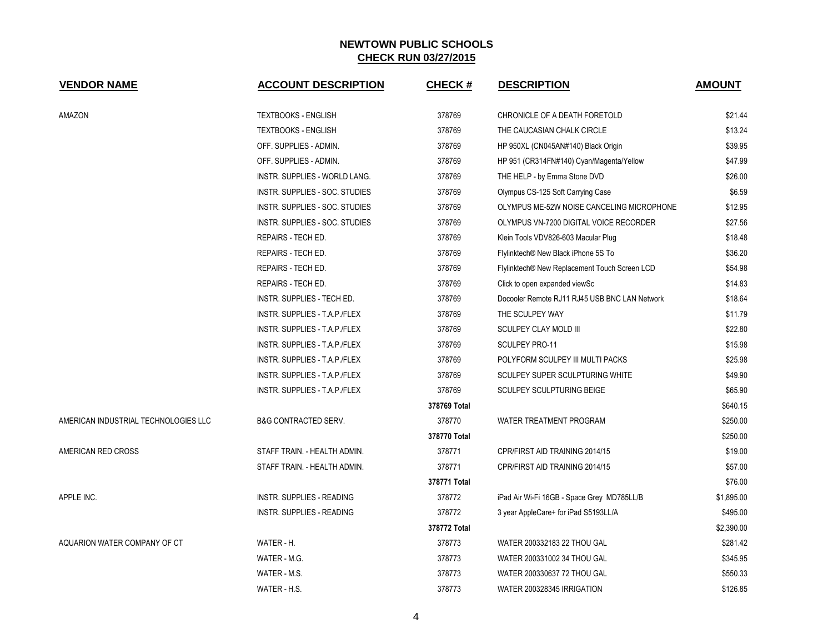| <b>VENDOR NAME</b>                   | <b>ACCOUNT DESCRIPTION</b>      | <b>CHECK#</b> | <b>DESCRIPTION</b>                            | <b>AMOUNT</b> |
|--------------------------------------|---------------------------------|---------------|-----------------------------------------------|---------------|
| <b>AMAZON</b>                        | <b>TEXTBOOKS - ENGLISH</b>      | 378769        | CHRONICLE OF A DEATH FORETOLD                 | \$21.44       |
|                                      | <b>TEXTBOOKS - ENGLISH</b>      | 378769        | THE CAUCASIAN CHALK CIRCLE                    | \$13.24       |
|                                      | OFF. SUPPLIES - ADMIN.          | 378769        | HP 950XL (CN045AN#140) Black Origin           | \$39.95       |
|                                      | OFF. SUPPLIES - ADMIN.          | 378769        | HP 951 (CR314FN#140) Cyan/Magenta/Yellow      | \$47.99       |
|                                      | INSTR. SUPPLIES - WORLD LANG.   | 378769        | THE HELP - by Emma Stone DVD                  | \$26.00       |
|                                      | INSTR. SUPPLIES - SOC. STUDIES  | 378769        | Olympus CS-125 Soft Carrying Case             | \$6.59        |
|                                      | INSTR. SUPPLIES - SOC. STUDIES  | 378769        | OLYMPUS ME-52W NOISE CANCELING MICROPHONE     | \$12.95       |
|                                      | INSTR. SUPPLIES - SOC. STUDIES  | 378769        | OLYMPUS VN-7200 DIGITAL VOICE RECORDER        | \$27.56       |
|                                      | REPAIRS - TECH ED.              | 378769        | Klein Tools VDV826-603 Macular Plug           | \$18.48       |
|                                      | REPAIRS - TECH ED.              | 378769        | Flylinktech® New Black iPhone 5S To           | \$36.20       |
|                                      | REPAIRS - TECH ED.              | 378769        | Flylinktech® New Replacement Touch Screen LCD | \$54.98       |
|                                      | REPAIRS - TECH ED.              | 378769        | Click to open expanded viewSc                 | \$14.83       |
|                                      | INSTR. SUPPLIES - TECH ED.      | 378769        | Docooler Remote RJ11 RJ45 USB BNC LAN Network | \$18.64       |
|                                      | INSTR. SUPPLIES - T.A.P./FLEX   | 378769        | THE SCULPEY WAY                               | \$11.79       |
|                                      | INSTR. SUPPLIES - T.A.P./FLEX   | 378769        | SCULPEY CLAY MOLD III                         | \$22.80       |
|                                      | INSTR. SUPPLIES - T.A.P./FLEX   | 378769        | SCULPEY PRO-11                                | \$15.98       |
|                                      | INSTR. SUPPLIES - T.A.P./FLEX   | 378769        | POLYFORM SCULPEY III MULTI PACKS              | \$25.98       |
|                                      | INSTR. SUPPLIES - T.A.P./FLEX   | 378769        | SCULPEY SUPER SCULPTURING WHITE               | \$49.90       |
|                                      | INSTR. SUPPLIES - T.A.P./FLEX   | 378769        | <b>SCULPEY SCULPTURING BEIGE</b>              | \$65.90       |
|                                      |                                 | 378769 Total  |                                               | \$640.15      |
| AMERICAN INDUSTRIAL TECHNOLOGIES LLC | <b>B&amp;G CONTRACTED SERV.</b> | 378770        | <b>WATER TREATMENT PROGRAM</b>                | \$250.00      |
|                                      |                                 | 378770 Total  |                                               | \$250.00      |
| AMERICAN RED CROSS                   | STAFF TRAIN. - HEALTH ADMIN.    | 378771        | CPR/FIRST AID TRAINING 2014/15                | \$19.00       |
|                                      | STAFF TRAIN. - HEALTH ADMIN.    | 378771        | CPR/FIRST AID TRAINING 2014/15                | \$57.00       |
|                                      |                                 | 378771 Total  |                                               | \$76.00       |
| APPLE INC.                           | INSTR. SUPPLIES - READING       | 378772        | iPad Air Wi-Fi 16GB - Space Grey MD785LL/B    | \$1,895.00    |
|                                      | INSTR. SUPPLIES - READING       | 378772        | 3 year AppleCare+ for iPad S5193LL/A          | \$495.00      |
|                                      |                                 | 378772 Total  |                                               | \$2,390.00    |
| AQUARION WATER COMPANY OF CT         | WATER - H.                      | 378773        | WATER 200332183 22 THOU GAL                   | \$281.42      |
|                                      | WATER - M.G.                    | 378773        | WATER 200331002 34 THOU GAL                   | \$345.95      |
|                                      | WATER - M.S.                    | 378773        | WATER 200330637 72 THOU GAL                   | \$550.33      |
|                                      | WATER - H.S.                    | 378773        | WATER 200328345 IRRIGATION                    | \$126.85      |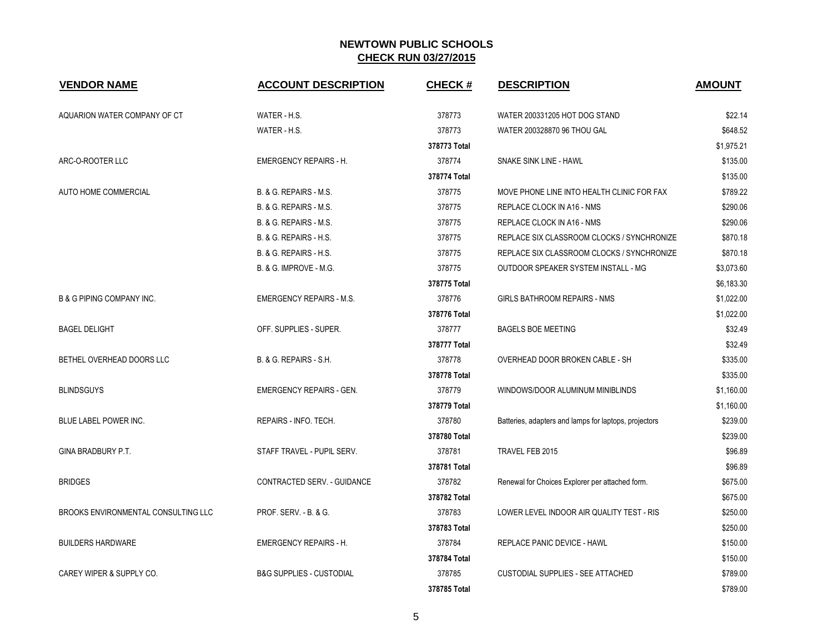| <b>VENDOR NAME</b>                   | <b>ACCOUNT DESCRIPTION</b>          | <b>CHECK#</b> | <b>DESCRIPTION</b>                                    | <b>AMOUNT</b> |
|--------------------------------------|-------------------------------------|---------------|-------------------------------------------------------|---------------|
| AQUARION WATER COMPANY OF CT         | WATER - H.S.                        | 378773        | WATER 200331205 HOT DOG STAND                         | \$22.14       |
|                                      | WATER - H.S.                        | 378773        | WATER 200328870 96 THOU GAL                           | \$648.52      |
|                                      |                                     | 378773 Total  |                                                       | \$1,975.21    |
| ARC-O-ROOTER LLC                     | <b>EMERGENCY REPAIRS - H.</b>       | 378774        | SNAKE SINK LINE - HAWL                                | \$135.00      |
|                                      |                                     | 378774 Total  |                                                       | \$135.00      |
| AUTO HOME COMMERCIAL                 | B. & G. REPAIRS - M.S.              | 378775        | MOVE PHONE LINE INTO HEALTH CLINIC FOR FAX            | \$789.22      |
|                                      | B. & G. REPAIRS - M.S.              | 378775        | REPLACE CLOCK IN A16 - NMS                            | \$290.06      |
|                                      | B. & G. REPAIRS - M.S.              | 378775        | REPLACE CLOCK IN A16 - NMS                            | \$290.06      |
|                                      | B. & G. REPAIRS - H.S.              | 378775        | REPLACE SIX CLASSROOM CLOCKS / SYNCHRONIZE            | \$870.18      |
|                                      | B. & G. REPAIRS - H.S.              | 378775        | REPLACE SIX CLASSROOM CLOCKS / SYNCHRONIZE            | \$870.18      |
|                                      | B. & G. IMPROVE - M.G.              | 378775        | OUTDOOR SPEAKER SYSTEM INSTALL - MG                   | \$3,073.60    |
|                                      |                                     | 378775 Total  |                                                       | \$6,183.30    |
| <b>B &amp; G PIPING COMPANY INC.</b> | <b>EMERGENCY REPAIRS - M.S.</b>     | 378776        | GIRLS BATHROOM REPAIRS - NMS                          | \$1,022.00    |
|                                      |                                     | 378776 Total  |                                                       | \$1,022.00    |
| <b>BAGEL DELIGHT</b>                 | OFF. SUPPLIES - SUPER.              | 378777        | <b>BAGELS BOE MEETING</b>                             | \$32.49       |
|                                      |                                     | 378777 Total  |                                                       | \$32.49       |
| BETHEL OVERHEAD DOORS LLC            | B. & G. REPAIRS - S.H.              | 378778        | OVERHEAD DOOR BROKEN CABLE - SH                       | \$335.00      |
|                                      |                                     | 378778 Total  |                                                       | \$335.00      |
| <b>BLINDSGUYS</b>                    | <b>EMERGENCY REPAIRS - GEN.</b>     | 378779        | WINDOWS/DOOR ALUMINUM MINIBLINDS                      | \$1,160.00    |
|                                      |                                     | 378779 Total  |                                                       | \$1,160.00    |
| BLUE LABEL POWER INC.                | REPAIRS - INFO. TECH.               | 378780        | Batteries, adapters and lamps for laptops, projectors | \$239.00      |
|                                      |                                     | 378780 Total  |                                                       | \$239.00      |
| GINA BRADBURY P.T.                   | STAFF TRAVEL - PUPIL SERV.          | 378781        | TRAVEL FEB 2015                                       | \$96.89       |
|                                      |                                     | 378781 Total  |                                                       | \$96.89       |
| <b>BRIDGES</b>                       | <b>CONTRACTED SERV. - GUIDANCE</b>  | 378782        | Renewal for Choices Explorer per attached form.       | \$675.00      |
|                                      |                                     | 378782 Total  |                                                       | \$675.00      |
| BROOKS ENVIRONMENTAL CONSULTING LLC  | PROF. SERV. - B. & G.               | 378783        | LOWER LEVEL INDOOR AIR QUALITY TEST - RIS             | \$250.00      |
|                                      |                                     | 378783 Total  |                                                       | \$250.00      |
| <b>BUILDERS HARDWARE</b>             | <b>EMERGENCY REPAIRS - H.</b>       | 378784        | <b>REPLACE PANIC DEVICE - HAWL</b>                    | \$150.00      |
|                                      |                                     | 378784 Total  |                                                       | \$150.00      |
| CAREY WIPER & SUPPLY CO.             | <b>B&amp;G SUPPLIES - CUSTODIAL</b> | 378785        | <b>CUSTODIAL SUPPLIES - SEE ATTACHED</b>              | \$789.00      |
|                                      |                                     | 378785 Total  |                                                       | \$789.00      |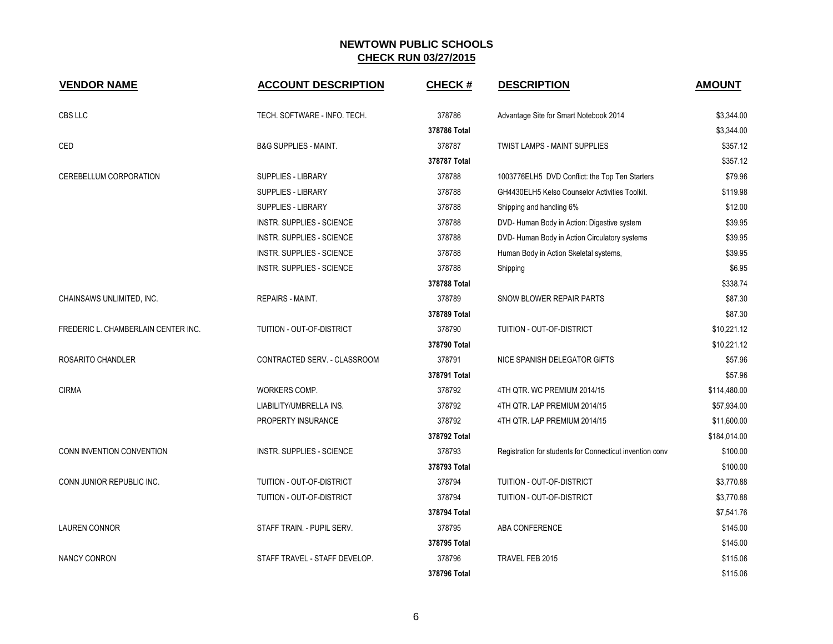| <b>VENDOR NAME</b>                  | <b>ACCOUNT DESCRIPTION</b>       | <b>CHECK#</b> | <b>DESCRIPTION</b>                                       | <b>AMOUNT</b> |
|-------------------------------------|----------------------------------|---------------|----------------------------------------------------------|---------------|
| CBS LLC                             | TECH. SOFTWARE - INFO. TECH.     | 378786        | Advantage Site for Smart Notebook 2014                   | \$3,344.00    |
|                                     |                                  | 378786 Total  |                                                          | \$3,344.00    |
| CED                                 | <b>B&amp;G SUPPLIES - MAINT.</b> | 378787        | <b>TWIST LAMPS - MAINT SUPPLIES</b>                      | \$357.12      |
|                                     |                                  | 378787 Total  |                                                          | \$357.12      |
| CEREBELLUM CORPORATION              | SUPPLIES - LIBRARY               | 378788        | 1003776ELH5 DVD Conflict: the Top Ten Starters           | \$79.96       |
|                                     | <b>SUPPLIES - LIBRARY</b>        | 378788        | GH4430ELH5 Kelso Counselor Activities Toolkit.           | \$119.98      |
|                                     | <b>SUPPLIES - LIBRARY</b>        | 378788        | Shipping and handling 6%                                 | \$12.00       |
|                                     | INSTR. SUPPLIES - SCIENCE        | 378788        | DVD- Human Body in Action: Digestive system              | \$39.95       |
|                                     | INSTR. SUPPLIES - SCIENCE        | 378788        | DVD- Human Body in Action Circulatory systems            | \$39.95       |
|                                     | INSTR. SUPPLIES - SCIENCE        | 378788        | Human Body in Action Skeletal systems,                   | \$39.95       |
|                                     | INSTR. SUPPLIES - SCIENCE        | 378788        | Shipping                                                 | \$6.95        |
|                                     |                                  | 378788 Total  |                                                          | \$338.74      |
| CHAINSAWS UNLIMITED, INC.           | <b>REPAIRS - MAINT.</b>          | 378789        | SNOW BLOWER REPAIR PARTS                                 | \$87.30       |
|                                     |                                  | 378789 Total  |                                                          | \$87.30       |
| FREDERIC L. CHAMBERLAIN CENTER INC. | TUITION - OUT-OF-DISTRICT        | 378790        | TUITION - OUT-OF-DISTRICT                                | \$10,221.12   |
|                                     |                                  | 378790 Total  |                                                          | \$10,221.12   |
| ROSARITO CHANDLER                   | CONTRACTED SERV. - CLASSROOM     | 378791        | NICE SPANISH DELEGATOR GIFTS                             | \$57.96       |
|                                     |                                  | 378791 Total  |                                                          | \$57.96       |
| <b>CIRMA</b>                        | WORKERS COMP.                    | 378792        | 4TH QTR. WC PREMIUM 2014/15                              | \$114,480.00  |
|                                     | LIABILITY/UMBRELLA INS.          | 378792        | 4TH QTR. LAP PREMIUM 2014/15                             | \$57,934.00   |
|                                     | PROPERTY INSURANCE               | 378792        | 4TH QTR. LAP PREMIUM 2014/15                             | \$11,600.00   |
|                                     |                                  | 378792 Total  |                                                          | \$184,014.00  |
| CONN INVENTION CONVENTION           | INSTR. SUPPLIES - SCIENCE        | 378793        | Registration for students for Connecticut invention conv | \$100.00      |
|                                     |                                  | 378793 Total  |                                                          | \$100.00      |
| CONN JUNIOR REPUBLIC INC.           | TUITION - OUT-OF-DISTRICT        | 378794        | TUITION - OUT-OF-DISTRICT                                | \$3,770.88    |
|                                     | TUITION - OUT-OF-DISTRICT        | 378794        | TUITION - OUT-OF-DISTRICT                                | \$3,770.88    |
|                                     |                                  | 378794 Total  |                                                          | \$7,541.76    |
| <b>LAUREN CONNOR</b>                | STAFF TRAIN. - PUPIL SERV.       | 378795        | ABA CONFERENCE                                           | \$145.00      |
|                                     |                                  | 378795 Total  |                                                          | \$145.00      |
| <b>NANCY CONRON</b>                 | STAFF TRAVEL - STAFF DEVELOP.    | 378796        | TRAVEL FEB 2015                                          | \$115.06      |
|                                     |                                  | 378796 Total  |                                                          | \$115.06      |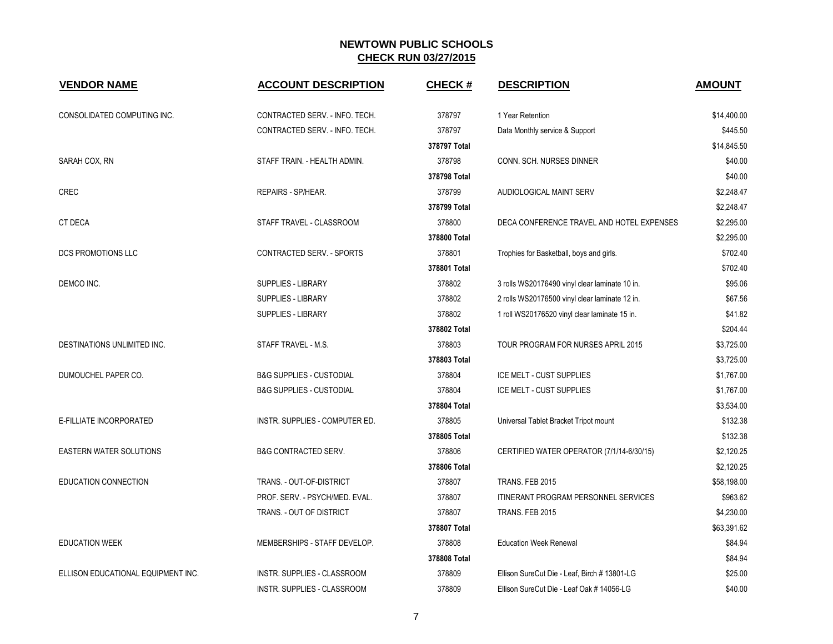| <b>VENDOR NAME</b>                 | <b>ACCOUNT DESCRIPTION</b>          | <b>CHECK#</b> | <b>DESCRIPTION</b>                             | <b>AMOUNT</b> |
|------------------------------------|-------------------------------------|---------------|------------------------------------------------|---------------|
| CONSOLIDATED COMPUTING INC.        | CONTRACTED SERV. - INFO. TECH.      | 378797        | 1 Year Retention                               | \$14,400.00   |
|                                    | CONTRACTED SERV. - INFO. TECH.      | 378797        | Data Monthly service & Support                 | \$445.50      |
|                                    |                                     | 378797 Total  |                                                | \$14,845.50   |
| SARAH COX, RN                      | STAFF TRAIN. - HEALTH ADMIN.        | 378798        | CONN. SCH. NURSES DINNER                       | \$40.00       |
|                                    |                                     | 378798 Total  |                                                | \$40.00       |
| <b>CREC</b>                        | REPAIRS - SP/HEAR.                  | 378799        | AUDIOLOGICAL MAINT SERV                        | \$2,248.47    |
|                                    |                                     | 378799 Total  |                                                | \$2,248.47    |
| CT DECA                            | STAFF TRAVEL - CLASSROOM            | 378800        | DECA CONFERENCE TRAVEL AND HOTEL EXPENSES      | \$2,295.00    |
|                                    |                                     | 378800 Total  |                                                | \$2,295.00    |
| DCS PROMOTIONS LLC                 | CONTRACTED SERV. - SPORTS           | 378801        | Trophies for Basketball, boys and girls.       | \$702.40      |
|                                    |                                     | 378801 Total  |                                                | \$702.40      |
| DEMCO INC.                         | SUPPLIES - LIBRARY                  | 378802        | 3 rolls WS20176490 vinyl clear laminate 10 in. | \$95.06       |
|                                    | SUPPLIES - LIBRARY                  | 378802        | 2 rolls WS20176500 vinyl clear laminate 12 in. | \$67.56       |
|                                    | SUPPLIES - LIBRARY                  | 378802        | 1 roll WS20176520 vinyl clear laminate 15 in.  | \$41.82       |
|                                    |                                     | 378802 Total  |                                                | \$204.44      |
| DESTINATIONS UNLIMITED INC.        | STAFF TRAVEL - M.S.                 | 378803        | TOUR PROGRAM FOR NURSES APRIL 2015             | \$3,725.00    |
|                                    |                                     | 378803 Total  |                                                | \$3,725.00    |
| DUMOUCHEL PAPER CO.                | <b>B&amp;G SUPPLIES - CUSTODIAL</b> | 378804        | ICE MELT - CUST SUPPLIES                       | \$1,767.00    |
|                                    | <b>B&amp;G SUPPLIES - CUSTODIAL</b> | 378804        | ICE MELT - CUST SUPPLIES                       | \$1,767.00    |
|                                    |                                     | 378804 Total  |                                                | \$3,534.00    |
| E-FILLIATE INCORPORATED            | INSTR. SUPPLIES - COMPUTER ED.      | 378805        | Universal Tablet Bracket Tripot mount          | \$132.38      |
|                                    |                                     | 378805 Total  |                                                | \$132.38      |
| <b>EASTERN WATER SOLUTIONS</b>     | <b>B&amp;G CONTRACTED SERV.</b>     | 378806        | CERTIFIED WATER OPERATOR (7/1/14-6/30/15)      | \$2,120.25    |
|                                    |                                     | 378806 Total  |                                                | \$2,120.25    |
| EDUCATION CONNECTION               | TRANS. - OUT-OF-DISTRICT            | 378807        | TRANS. FEB 2015                                | \$58,198.00   |
|                                    | PROF. SERV. - PSYCH/MED. EVAL.      | 378807        | <b>ITINERANT PROGRAM PERSONNEL SERVICES</b>    | \$963.62      |
|                                    | TRANS. - OUT OF DISTRICT            | 378807        | TRANS. FEB 2015                                | \$4,230.00    |
|                                    |                                     | 378807 Total  |                                                | \$63,391.62   |
| <b>EDUCATION WEEK</b>              | MEMBERSHIPS - STAFF DEVELOP.        | 378808        | <b>Education Week Renewal</b>                  | \$84.94       |
|                                    |                                     | 378808 Total  |                                                | \$84.94       |
| ELLISON EDUCATIONAL EQUIPMENT INC. | INSTR. SUPPLIES - CLASSROOM         | 378809        | Ellison SureCut Die - Leaf, Birch # 13801-LG   | \$25.00       |
|                                    | INSTR. SUPPLIES - CLASSROOM         | 378809        | Ellison SureCut Die - Leaf Oak # 14056-LG      | \$40.00       |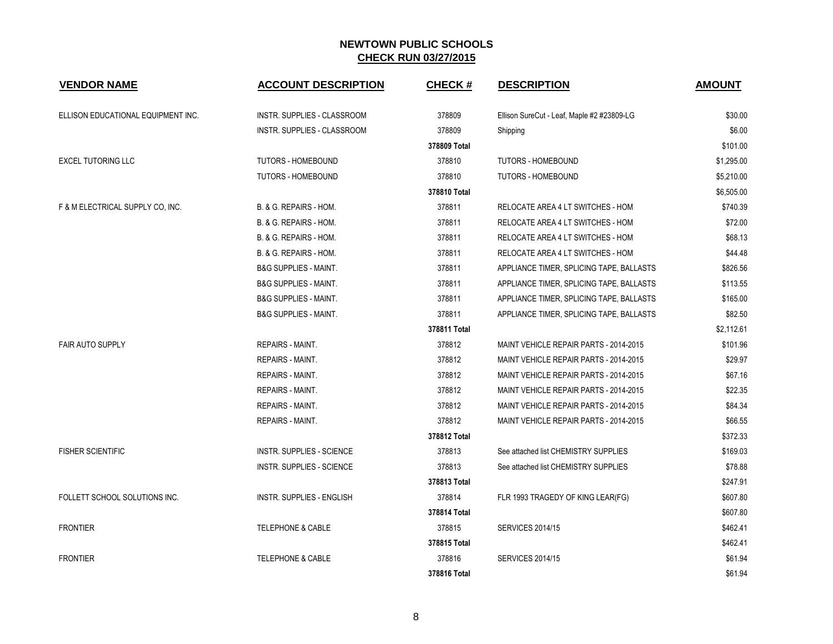| <b>VENDOR NAME</b>                 | <b>ACCOUNT DESCRIPTION</b>       | <b>CHECK#</b> | <b>DESCRIPTION</b>                         | <b>AMOUNT</b> |
|------------------------------------|----------------------------------|---------------|--------------------------------------------|---------------|
| ELLISON EDUCATIONAL EQUIPMENT INC. | INSTR. SUPPLIES - CLASSROOM      | 378809        | Ellison SureCut - Leaf, Maple #2 #23809-LG | \$30.00       |
|                                    | INSTR. SUPPLIES - CLASSROOM      | 378809        | Shipping                                   | \$6.00        |
|                                    |                                  | 378809 Total  |                                            | \$101.00      |
| <b>EXCEL TUTORING LLC</b>          | <b>TUTORS - HOMEBOUND</b>        | 378810        | <b>TUTORS - HOMEBOUND</b>                  | \$1,295.00    |
|                                    | TUTORS - HOMEBOUND               | 378810        | <b>TUTORS - HOMEBOUND</b>                  | \$5,210.00    |
|                                    |                                  | 378810 Total  |                                            | \$6,505.00    |
| F & M ELECTRICAL SUPPLY CO, INC.   | B. & G. REPAIRS - HOM.           | 378811        | RELOCATE AREA 4 LT SWITCHES - HOM          | \$740.39      |
|                                    | B. & G. REPAIRS - HOM.           | 378811        | RELOCATE AREA 4 LT SWITCHES - HOM          | \$72.00       |
|                                    | B. & G. REPAIRS - HOM.           | 378811        | RELOCATE AREA 4 LT SWITCHES - HOM          | \$68.13       |
|                                    | B. & G. REPAIRS - HOM.           | 378811        | RELOCATE AREA 4 LT SWITCHES - HOM          | \$44.48       |
|                                    | <b>B&amp;G SUPPLIES - MAINT.</b> | 378811        | APPLIANCE TIMER, SPLICING TAPE, BALLASTS   | \$826.56      |
|                                    | <b>B&amp;G SUPPLIES - MAINT.</b> | 378811        | APPLIANCE TIMER, SPLICING TAPE, BALLASTS   | \$113.55      |
|                                    | <b>B&amp;G SUPPLIES - MAINT.</b> | 378811        | APPLIANCE TIMER, SPLICING TAPE, BALLASTS   | \$165.00      |
|                                    | <b>B&amp;G SUPPLIES - MAINT.</b> | 378811        | APPLIANCE TIMER, SPLICING TAPE, BALLASTS   | \$82.50       |
|                                    |                                  | 378811 Total  |                                            | \$2,112.61    |
| <b>FAIR AUTO SUPPLY</b>            | <b>REPAIRS - MAINT.</b>          | 378812        | MAINT VEHICLE REPAIR PARTS - 2014-2015     | \$101.96      |
|                                    | <b>REPAIRS - MAINT.</b>          | 378812        | MAINT VEHICLE REPAIR PARTS - 2014-2015     | \$29.97       |
|                                    | <b>REPAIRS - MAINT.</b>          | 378812        | MAINT VEHICLE REPAIR PARTS - 2014-2015     | \$67.16       |
|                                    | <b>REPAIRS - MAINT.</b>          | 378812        | MAINT VEHICLE REPAIR PARTS - 2014-2015     | \$22.35       |
|                                    | <b>REPAIRS - MAINT.</b>          | 378812        | MAINT VEHICLE REPAIR PARTS - 2014-2015     | \$84.34       |
|                                    | REPAIRS - MAINT.                 | 378812        | MAINT VEHICLE REPAIR PARTS - 2014-2015     | \$66.55       |
|                                    |                                  | 378812 Total  |                                            | \$372.33      |
| <b>FISHER SCIENTIFIC</b>           | INSTR. SUPPLIES - SCIENCE        | 378813        | See attached list CHEMISTRY SUPPLIES       | \$169.03      |
|                                    | <b>INSTR. SUPPLIES - SCIENCE</b> | 378813        | See attached list CHEMISTRY SUPPLIES       | \$78.88       |
|                                    |                                  | 378813 Total  |                                            | \$247.91      |
| FOLLETT SCHOOL SOLUTIONS INC.      | INSTR. SUPPLIES - ENGLISH        | 378814        | FLR 1993 TRAGEDY OF KING LEAR(FG)          | \$607.80      |
|                                    |                                  | 378814 Total  |                                            | \$607.80      |
| <b>FRONTIER</b>                    | <b>TELEPHONE &amp; CABLE</b>     | 378815        | <b>SERVICES 2014/15</b>                    | \$462.41      |
|                                    |                                  | 378815 Total  |                                            | \$462.41      |
| <b>FRONTIER</b>                    | <b>TELEPHONE &amp; CABLE</b>     | 378816        | <b>SERVICES 2014/15</b>                    | \$61.94       |
|                                    |                                  | 378816 Total  |                                            | \$61.94       |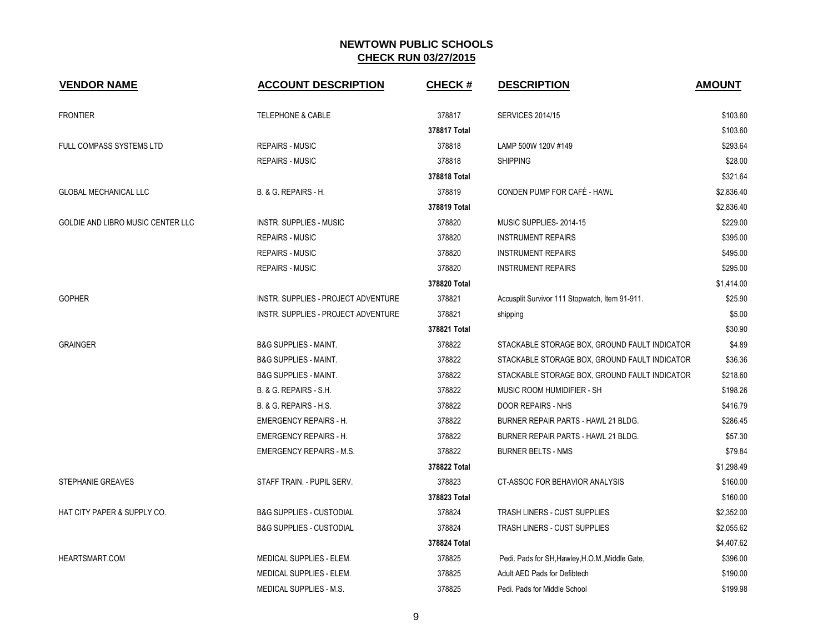| <b>VENDOR NAME</b>                | <b>ACCOUNT DESCRIPTION</b>                 | <b>CHECK#</b> | <b>DESCRIPTION</b>                              | <b>AMOUNT</b> |
|-----------------------------------|--------------------------------------------|---------------|-------------------------------------------------|---------------|
| <b>FRONTIER</b>                   | <b>TELEPHONE &amp; CABLE</b>               | 378817        | <b>SERVICES 2014/15</b>                         | \$103.60      |
|                                   |                                            | 378817 Total  |                                                 | \$103.60      |
| <b>FULL COMPASS SYSTEMS LTD</b>   | <b>REPAIRS - MUSIC</b>                     | 378818        | LAMP 500W 120V #149                             | \$293.64      |
|                                   | <b>REPAIRS - MUSIC</b>                     | 378818        | <b>SHIPPING</b>                                 | \$28.00       |
|                                   |                                            | 378818 Total  |                                                 | \$321.64      |
| <b>GLOBAL MECHANICAL LLC</b>      | B. & G. REPAIRS - H.                       | 378819        | CONDEN PUMP FOR CAFÉ - HAWL                     | \$2,836.40    |
|                                   |                                            | 378819 Total  |                                                 | \$2,836.40    |
| GOLDIE AND LIBRO MUSIC CENTER LLC | <b>INSTR. SUPPLIES - MUSIC</b>             | 378820        | MUSIC SUPPLIES-2014-15                          | \$229.00      |
|                                   | <b>REPAIRS - MUSIC</b>                     | 378820        | <b>INSTRUMENT REPAIRS</b>                       | \$395.00      |
|                                   | <b>REPAIRS - MUSIC</b>                     | 378820        | <b>INSTRUMENT REPAIRS</b>                       | \$495.00      |
|                                   | <b>REPAIRS - MUSIC</b>                     | 378820        | <b>INSTRUMENT REPAIRS</b>                       | \$295.00      |
|                                   |                                            | 378820 Total  |                                                 | \$1,414.00    |
| <b>GOPHER</b>                     | <b>INSTR. SUPPLIES - PROJECT ADVENTURE</b> | 378821        | Accusplit Survivor 111 Stopwatch, Item 91-911.  | \$25.90       |
|                                   | INSTR. SUPPLIES - PROJECT ADVENTURE        | 378821        | shipping                                        | \$5.00        |
|                                   |                                            | 378821 Total  |                                                 | \$30.90       |
| <b>GRAINGER</b>                   | <b>B&amp;G SUPPLIES - MAINT.</b>           | 378822        | STACKABLE STORAGE BOX, GROUND FAULT INDICATOR   | \$4.89        |
|                                   | <b>B&amp;G SUPPLIES - MAINT.</b>           | 378822        | STACKABLE STORAGE BOX, GROUND FAULT INDICATOR   | \$36.36       |
|                                   | <b>B&amp;G SUPPLIES - MAINT.</b>           | 378822        | STACKABLE STORAGE BOX, GROUND FAULT INDICATOR   | \$218.60      |
|                                   | B. & G. REPAIRS - S.H.                     | 378822        | MUSIC ROOM HUMIDIFIER - SH                      | \$198.26      |
|                                   | B. & G. REPAIRS - H.S.                     | 378822        | DOOR REPAIRS - NHS                              | \$416.79      |
|                                   | <b>EMERGENCY REPAIRS - H.</b>              | 378822        | BURNER REPAIR PARTS - HAWL 21 BLDG.             | \$286.45      |
|                                   | <b>EMERGENCY REPAIRS - H.</b>              | 378822        | BURNER REPAIR PARTS - HAWL 21 BLDG.             | \$57.30       |
|                                   | <b>EMERGENCY REPAIRS - M.S.</b>            | 378822        | <b>BURNER BELTS - NMS</b>                       | \$79.84       |
|                                   |                                            | 378822 Total  |                                                 | \$1,298.49    |
| <b>STEPHANIE GREAVES</b>          | STAFF TRAIN. - PUPIL SERV.                 | 378823        | CT-ASSOC FOR BEHAVIOR ANALYSIS                  | \$160.00      |
|                                   |                                            | 378823 Total  |                                                 | \$160.00      |
| HAT CITY PAPER & SUPPLY CO.       | <b>B&amp;G SUPPLIES - CUSTODIAL</b>        | 378824        | TRASH LINERS - CUST SUPPLIES                    | \$2,352.00    |
|                                   | <b>B&amp;G SUPPLIES - CUSTODIAL</b>        | 378824        | <b>TRASH LINERS - CUST SUPPLIES</b>             | \$2,055.62    |
|                                   |                                            | 378824 Total  |                                                 | \$4,407.62    |
| <b>HEARTSMART.COM</b>             | MEDICAL SUPPLIES - ELEM.                   | 378825        | Pedi. Pads for SH, Hawley, H.O.M., Middle Gate, | \$396.00      |
|                                   | MEDICAL SUPPLIES - ELEM.                   | 378825        | Adult AED Pads for Defibtech                    | \$190.00      |
|                                   | MEDICAL SUPPLIES - M.S.                    | 378825        | Pedi. Pads for Middle School                    | \$199.98      |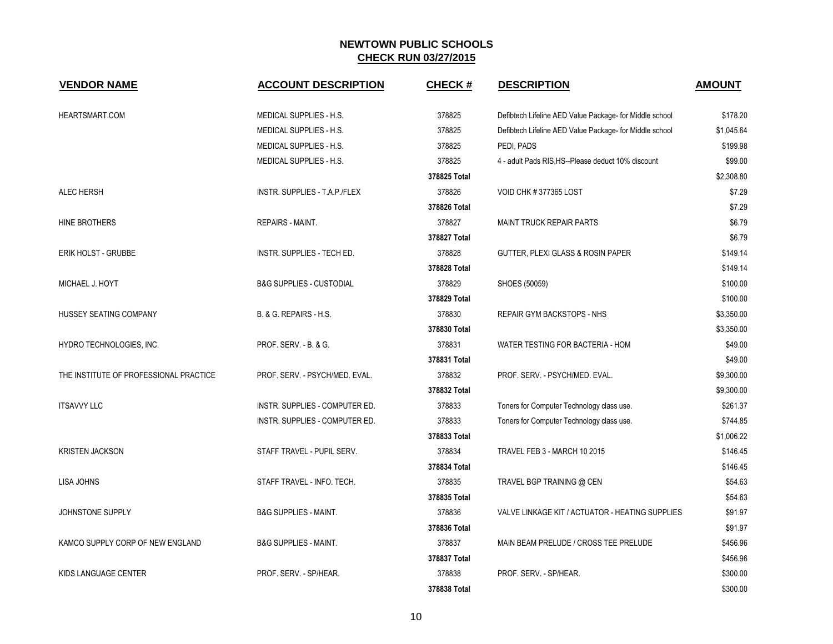| <b>VENDOR NAME</b>                     | <b>ACCOUNT DESCRIPTION</b>          | <b>CHECK#</b> | <b>DESCRIPTION</b>                                      | <b>AMOUNT</b> |
|----------------------------------------|-------------------------------------|---------------|---------------------------------------------------------|---------------|
| HEARTSMART.COM                         | <b>MEDICAL SUPPLIES - H.S.</b>      | 378825        | Defibtech Lifeline AED Value Package- for Middle school | \$178.20      |
|                                        | <b>MEDICAL SUPPLIES - H.S.</b>      | 378825        | Defibtech Lifeline AED Value Package- for Middle school | \$1,045.64    |
|                                        | MEDICAL SUPPLIES - H.S.             | 378825        | PEDI, PADS                                              | \$199.98      |
|                                        | MEDICAL SUPPLIES - H.S.             | 378825        | 4 - adult Pads RIS, HS--Please deduct 10% discount      | \$99.00       |
|                                        |                                     | 378825 Total  |                                                         | \$2,308.80    |
| <b>ALEC HERSH</b>                      | INSTR. SUPPLIES - T.A.P./FLEX       | 378826        | VOID CHK #377365 LOST                                   | \$7.29        |
|                                        |                                     | 378826 Total  |                                                         | \$7.29        |
| HINE BROTHERS                          | REPAIRS - MAINT.                    | 378827        | <b>MAINT TRUCK REPAIR PARTS</b>                         | \$6.79        |
|                                        |                                     | 378827 Total  |                                                         | \$6.79        |
| ERIK HOLST - GRUBBE                    | INSTR. SUPPLIES - TECH ED.          | 378828        | GUTTER, PLEXI GLASS & ROSIN PAPER                       | \$149.14      |
|                                        |                                     | 378828 Total  |                                                         | \$149.14      |
| MICHAEL J. HOYT                        | <b>B&amp;G SUPPLIES - CUSTODIAL</b> | 378829        | SHOES (50059)                                           | \$100.00      |
|                                        |                                     | 378829 Total  |                                                         | \$100.00      |
| HUSSEY SEATING COMPANY                 | B. & G. REPAIRS - H.S.              | 378830        | <b>REPAIR GYM BACKSTOPS - NHS</b>                       | \$3,350.00    |
|                                        |                                     | 378830 Total  |                                                         | \$3,350.00    |
| HYDRO TECHNOLOGIES, INC.               | PROF. SERV. - B. & G.               | 378831        | WATER TESTING FOR BACTERIA - HOM                        | \$49.00       |
|                                        |                                     | 378831 Total  |                                                         | \$49.00       |
| THE INSTITUTE OF PROFESSIONAL PRACTICE | PROF. SERV. - PSYCH/MED. EVAL.      | 378832        | PROF. SERV. - PSYCH/MED. EVAL.                          | \$9,300.00    |
|                                        |                                     | 378832 Total  |                                                         | \$9,300.00    |
| <b>ITSAVVY LLC</b>                     | INSTR. SUPPLIES - COMPUTER ED.      | 378833        | Toners for Computer Technology class use.               | \$261.37      |
|                                        | INSTR. SUPPLIES - COMPUTER ED.      | 378833        | Toners for Computer Technology class use.               | \$744.85      |
|                                        |                                     | 378833 Total  |                                                         | \$1,006.22    |
| <b>KRISTEN JACKSON</b>                 | STAFF TRAVEL - PUPIL SERV.          | 378834        | TRAVEL FEB 3 - MARCH 10 2015                            | \$146.45      |
|                                        |                                     | 378834 Total  |                                                         | \$146.45      |
| LISA JOHNS                             | STAFF TRAVEL - INFO. TECH.          | 378835        | TRAVEL BGP TRAINING @ CEN                               | \$54.63       |
|                                        |                                     | 378835 Total  |                                                         | \$54.63       |
| JOHNSTONE SUPPLY                       | <b>B&amp;G SUPPLIES - MAINT.</b>    | 378836        | VALVE LINKAGE KIT / ACTUATOR - HEATING SUPPLIES         | \$91.97       |
|                                        |                                     | 378836 Total  |                                                         | \$91.97       |
| KAMCO SUPPLY CORP OF NEW ENGLAND       | <b>B&amp;G SUPPLIES - MAINT.</b>    | 378837        | MAIN BEAM PRELUDE / CROSS TEE PRELUDE                   | \$456.96      |
|                                        |                                     | 378837 Total  |                                                         | \$456.96      |
| KIDS LANGUAGE CENTER                   | PROF. SERV. - SP/HEAR.              | 378838        | PROF. SERV. - SP/HEAR.                                  | \$300.00      |
|                                        |                                     | 378838 Total  |                                                         | \$300.00      |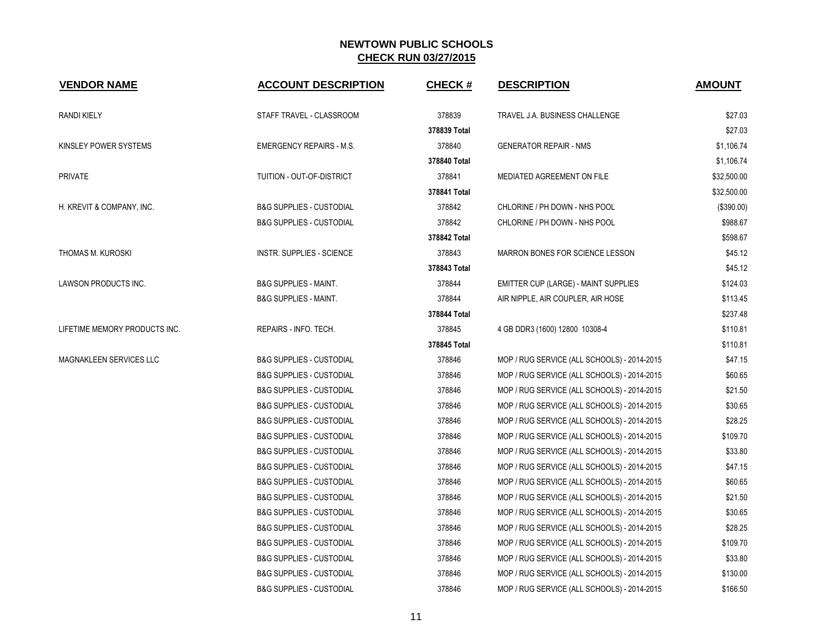| <b>VENDOR NAME</b>             | <b>ACCOUNT DESCRIPTION</b>          | <b>CHECK#</b> | <b>DESCRIPTION</b>                          | <b>AMOUNT</b> |
|--------------------------------|-------------------------------------|---------------|---------------------------------------------|---------------|
| <b>RANDI KIELY</b>             | STAFF TRAVEL - CLASSROOM            | 378839        | TRAVEL J.A. BUSINESS CHALLENGE              | \$27.03       |
|                                |                                     | 378839 Total  |                                             | \$27.03       |
| KINSLEY POWER SYSTEMS          | <b>EMERGENCY REPAIRS - M.S.</b>     | 378840        | <b>GENERATOR REPAIR - NMS</b>               | \$1,106.74    |
|                                |                                     | 378840 Total  |                                             | \$1,106.74    |
| <b>PRIVATE</b>                 | TUITION - OUT-OF-DISTRICT           | 378841        | MEDIATED AGREEMENT ON FILE                  | \$32,500.00   |
|                                |                                     | 378841 Total  |                                             | \$32,500.00   |
| H. KREVIT & COMPANY, INC.      | <b>B&amp;G SUPPLIES - CUSTODIAL</b> | 378842        | CHLORINE / PH DOWN - NHS POOL               | (\$390.00)    |
|                                | <b>B&amp;G SUPPLIES - CUSTODIAL</b> | 378842        | CHLORINE / PH DOWN - NHS POOL               | \$988.67      |
|                                |                                     | 378842 Total  |                                             | \$598.67      |
| THOMAS M. KUROSKI              | INSTR. SUPPLIES - SCIENCE           | 378843        | MARRON BONES FOR SCIENCE LESSON             | \$45.12       |
|                                |                                     | 378843 Total  |                                             | \$45.12       |
| LAWSON PRODUCTS INC.           | <b>B&amp;G SUPPLIES - MAINT.</b>    | 378844        | <b>EMITTER CUP (LARGE) - MAINT SUPPLIES</b> | \$124.03      |
|                                | <b>B&amp;G SUPPLIES - MAINT.</b>    | 378844        | AIR NIPPLE, AIR COUPLER, AIR HOSE           | \$113.45      |
|                                |                                     | 378844 Total  |                                             | \$237.48      |
| LIFETIME MEMORY PRODUCTS INC.  | REPAIRS - INFO. TECH.               | 378845        | 4 GB DDR3 (1600) 12800 10308-4              | \$110.81      |
|                                |                                     | 378845 Total  |                                             | \$110.81      |
| <b>MAGNAKLEEN SERVICES LLC</b> | <b>B&amp;G SUPPLIES - CUSTODIAL</b> | 378846        | MOP / RUG SERVICE (ALL SCHOOLS) - 2014-2015 | \$47.15       |
|                                | <b>B&amp;G SUPPLIES - CUSTODIAL</b> | 378846        | MOP / RUG SERVICE (ALL SCHOOLS) - 2014-2015 | \$60.65       |
|                                | <b>B&amp;G SUPPLIES - CUSTODIAL</b> | 378846        | MOP / RUG SERVICE (ALL SCHOOLS) - 2014-2015 | \$21.50       |
|                                | <b>B&amp;G SUPPLIES - CUSTODIAL</b> | 378846        | MOP / RUG SERVICE (ALL SCHOOLS) - 2014-2015 | \$30.65       |
|                                | <b>B&amp;G SUPPLIES - CUSTODIAL</b> | 378846        | MOP / RUG SERVICE (ALL SCHOOLS) - 2014-2015 | \$28.25       |
|                                | <b>B&amp;G SUPPLIES - CUSTODIAL</b> | 378846        | MOP / RUG SERVICE (ALL SCHOOLS) - 2014-2015 | \$109.70      |
|                                | <b>B&amp;G SUPPLIES - CUSTODIAL</b> | 378846        | MOP / RUG SERVICE (ALL SCHOOLS) - 2014-2015 | \$33.80       |
|                                | <b>B&amp;G SUPPLIES - CUSTODIAL</b> | 378846        | MOP / RUG SERVICE (ALL SCHOOLS) - 2014-2015 | \$47.15       |
|                                | <b>B&amp;G SUPPLIES - CUSTODIAL</b> | 378846        | MOP / RUG SERVICE (ALL SCHOOLS) - 2014-2015 | \$60.65       |
|                                | <b>B&amp;G SUPPLIES - CUSTODIAL</b> | 378846        | MOP / RUG SERVICE (ALL SCHOOLS) - 2014-2015 | \$21.50       |
|                                | <b>B&amp;G SUPPLIES - CUSTODIAL</b> | 378846        | MOP / RUG SERVICE (ALL SCHOOLS) - 2014-2015 | \$30.65       |
|                                | <b>B&amp;G SUPPLIES - CUSTODIAL</b> | 378846        | MOP / RUG SERVICE (ALL SCHOOLS) - 2014-2015 | \$28.25       |
|                                | <b>B&amp;G SUPPLIES - CUSTODIAL</b> | 378846        | MOP / RUG SERVICE (ALL SCHOOLS) - 2014-2015 | \$109.70      |
|                                | <b>B&amp;G SUPPLIES - CUSTODIAL</b> | 378846        | MOP / RUG SERVICE (ALL SCHOOLS) - 2014-2015 | \$33.80       |
|                                | <b>B&amp;G SUPPLIES - CUSTODIAL</b> | 378846        | MOP / RUG SERVICE (ALL SCHOOLS) - 2014-2015 | \$130.00      |
|                                | <b>B&amp;G SUPPLIES - CUSTODIAL</b> | 378846        | MOP / RUG SERVICE (ALL SCHOOLS) - 2014-2015 | \$166.50      |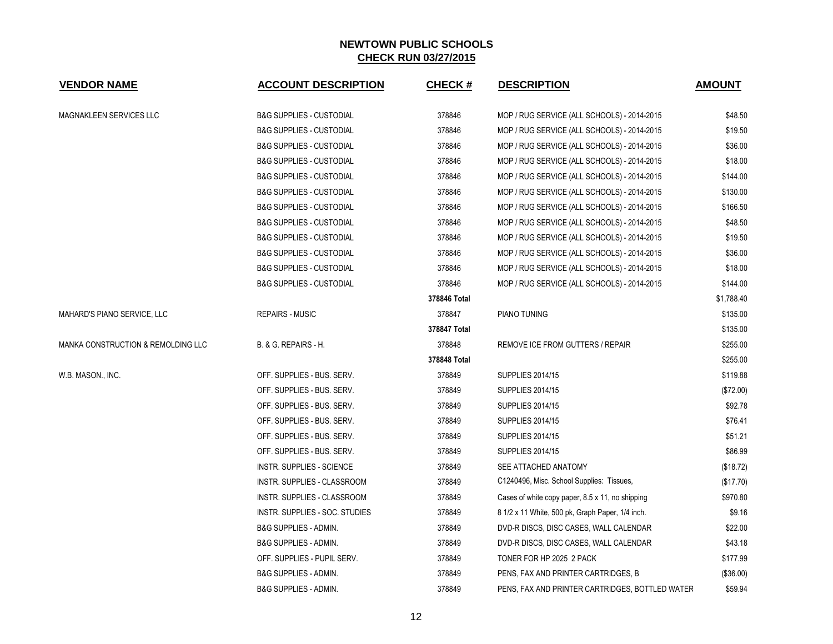| <b>VENDOR NAME</b>                 | <b>ACCOUNT DESCRIPTION</b>          | <b>CHECK#</b> | <b>DESCRIPTION</b>                               | <b>AMOUNT</b> |
|------------------------------------|-------------------------------------|---------------|--------------------------------------------------|---------------|
| MAGNAKLEEN SERVICES LLC            | <b>B&amp;G SUPPLIES - CUSTODIAL</b> | 378846        | MOP / RUG SERVICE (ALL SCHOOLS) - 2014-2015      | \$48.50       |
|                                    | <b>B&amp;G SUPPLIES - CUSTODIAL</b> | 378846        | MOP / RUG SERVICE (ALL SCHOOLS) - 2014-2015      | \$19.50       |
|                                    | <b>B&amp;G SUPPLIES - CUSTODIAL</b> | 378846        | MOP / RUG SERVICE (ALL SCHOOLS) - 2014-2015      | \$36.00       |
|                                    | <b>B&amp;G SUPPLIES - CUSTODIAL</b> | 378846        | MOP / RUG SERVICE (ALL SCHOOLS) - 2014-2015      | \$18.00       |
|                                    | <b>B&amp;G SUPPLIES - CUSTODIAL</b> | 378846        | MOP / RUG SERVICE (ALL SCHOOLS) - 2014-2015      | \$144.00      |
|                                    | <b>B&amp;G SUPPLIES - CUSTODIAL</b> | 378846        | MOP / RUG SERVICE (ALL SCHOOLS) - 2014-2015      | \$130.00      |
|                                    | <b>B&amp;G SUPPLIES - CUSTODIAL</b> | 378846        | MOP / RUG SERVICE (ALL SCHOOLS) - 2014-2015      | \$166.50      |
|                                    | <b>B&amp;G SUPPLIES - CUSTODIAL</b> | 378846        | MOP / RUG SERVICE (ALL SCHOOLS) - 2014-2015      | \$48.50       |
|                                    | <b>B&amp;G SUPPLIES - CUSTODIAL</b> | 378846        | MOP / RUG SERVICE (ALL SCHOOLS) - 2014-2015      | \$19.50       |
|                                    | <b>B&amp;G SUPPLIES - CUSTODIAL</b> | 378846        | MOP / RUG SERVICE (ALL SCHOOLS) - 2014-2015      | \$36.00       |
|                                    | <b>B&amp;G SUPPLIES - CUSTODIAL</b> | 378846        | MOP / RUG SERVICE (ALL SCHOOLS) - 2014-2015      | \$18.00       |
|                                    | <b>B&amp;G SUPPLIES - CUSTODIAL</b> | 378846        | MOP / RUG SERVICE (ALL SCHOOLS) - 2014-2015      | \$144.00      |
|                                    |                                     | 378846 Total  |                                                  | \$1,788.40    |
| MAHARD'S PIANO SERVICE, LLC        | <b>REPAIRS - MUSIC</b>              | 378847        | PIANO TUNING                                     | \$135.00      |
|                                    |                                     | 378847 Total  |                                                  | \$135.00      |
| MANKA CONSTRUCTION & REMOLDING LLC | B. & G. REPAIRS - H.                | 378848        | REMOVE ICE FROM GUTTERS / REPAIR                 | \$255.00      |
|                                    |                                     | 378848 Total  |                                                  | \$255.00      |
| W.B. MASON., INC.                  | OFF. SUPPLIES - BUS. SERV.          | 378849        | <b>SUPPLIES 2014/15</b>                          | \$119.88      |
|                                    | OFF. SUPPLIES - BUS. SERV.          | 378849        | <b>SUPPLIES 2014/15</b>                          | (\$72.00)     |
|                                    | OFF. SUPPLIES - BUS. SERV.          | 378849        | <b>SUPPLIES 2014/15</b>                          | \$92.78       |
|                                    | OFF. SUPPLIES - BUS. SERV.          | 378849        | <b>SUPPLIES 2014/15</b>                          | \$76.41       |
|                                    | OFF. SUPPLIES - BUS. SERV.          | 378849        | <b>SUPPLIES 2014/15</b>                          | \$51.21       |
|                                    | OFF. SUPPLIES - BUS. SERV.          | 378849        | <b>SUPPLIES 2014/15</b>                          | \$86.99       |
|                                    | INSTR. SUPPLIES - SCIENCE           | 378849        | SEE ATTACHED ANATOMY                             | (\$18.72)     |
|                                    | INSTR. SUPPLIES - CLASSROOM         | 378849        | C1240496, Misc. School Supplies: Tissues,        | (\$17.70)     |
|                                    | INSTR. SUPPLIES - CLASSROOM         | 378849        | Cases of white copy paper, 8.5 x 11, no shipping | \$970.80      |
|                                    | INSTR. SUPPLIES - SOC. STUDIES      | 378849        | 8 1/2 x 11 White, 500 pk, Graph Paper, 1/4 inch. | \$9.16        |
|                                    | B&G SUPPLIES - ADMIN.               | 378849        | DVD-R DISCS, DISC CASES, WALL CALENDAR           | \$22.00       |
|                                    | <b>B&amp;G SUPPLIES - ADMIN.</b>    | 378849        | DVD-R DISCS, DISC CASES, WALL CALENDAR           | \$43.18       |
|                                    | OFF. SUPPLIES - PUPIL SERV.         | 378849        | TONER FOR HP 2025 2 PACK                         | \$177.99      |
|                                    | <b>B&amp;G SUPPLIES - ADMIN.</b>    | 378849        | PENS, FAX AND PRINTER CARTRIDGES, B              | (\$36.00)     |
|                                    | <b>B&amp;G SUPPLIES - ADMIN.</b>    | 378849        | PENS, FAX AND PRINTER CARTRIDGES, BOTTLED WATER  | \$59.94       |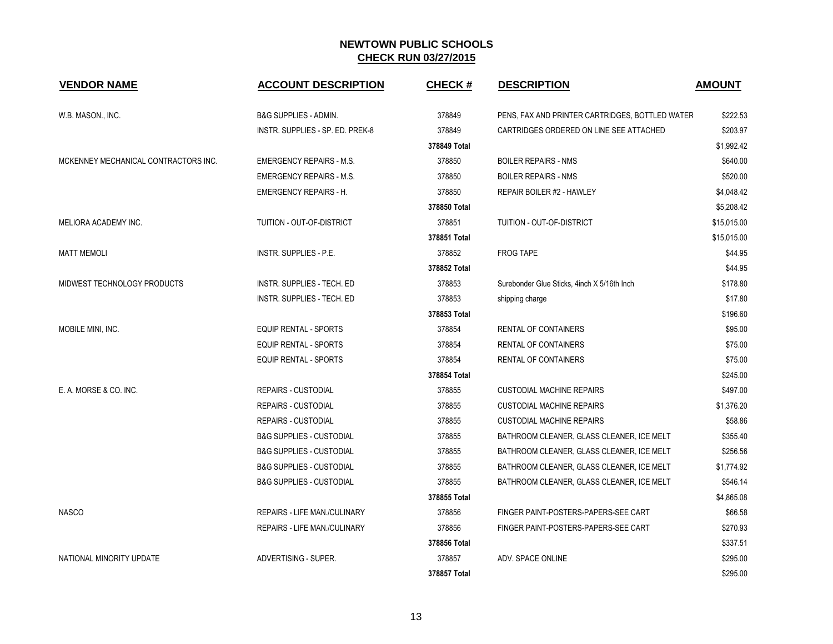| <b>VENDOR NAME</b>                   | <b>ACCOUNT DESCRIPTION</b>          | <b>CHECK#</b> | <b>DESCRIPTION</b>                              | <b>AMOUNT</b> |
|--------------------------------------|-------------------------------------|---------------|-------------------------------------------------|---------------|
| W.B. MASON., INC.                    | <b>B&amp;G SUPPLIES - ADMIN.</b>    | 378849        | PENS, FAX AND PRINTER CARTRIDGES, BOTTLED WATER | \$222.53      |
|                                      | INSTR. SUPPLIES - SP. ED. PREK-8    | 378849        | CARTRIDGES ORDERED ON LINE SEE ATTACHED         | \$203.97      |
|                                      |                                     | 378849 Total  |                                                 | \$1,992.42    |
| MCKENNEY MECHANICAL CONTRACTORS INC. | <b>EMERGENCY REPAIRS - M.S.</b>     | 378850        | <b>BOILER REPAIRS - NMS</b>                     | \$640.00      |
|                                      | <b>EMERGENCY REPAIRS - M.S.</b>     | 378850        | <b>BOILER REPAIRS - NMS</b>                     | \$520.00      |
|                                      | <b>EMERGENCY REPAIRS - H.</b>       | 378850        | REPAIR BOILER #2 - HAWLEY                       | \$4,048.42    |
|                                      |                                     | 378850 Total  |                                                 | \$5,208.42    |
| MELIORA ACADEMY INC.                 | TUITION - OUT-OF-DISTRICT           | 378851        | TUITION - OUT-OF-DISTRICT                       | \$15,015.00   |
|                                      |                                     | 378851 Total  |                                                 | \$15,015.00   |
| <b>MATT MEMOLI</b>                   | INSTR. SUPPLIES - P.E.              | 378852        | <b>FROG TAPE</b>                                | \$44.95       |
|                                      |                                     | 378852 Total  |                                                 | \$44.95       |
| MIDWEST TECHNOLOGY PRODUCTS          | <b>INSTR. SUPPLIES - TECH. ED</b>   | 378853        | Surebonder Glue Sticks, 4inch X 5/16th Inch     | \$178.80      |
|                                      | <b>INSTR. SUPPLIES - TECH. ED</b>   | 378853        | shipping charge                                 | \$17.80       |
|                                      |                                     | 378853 Total  |                                                 | \$196.60      |
| MOBILE MINI, INC.                    | <b>EQUIP RENTAL - SPORTS</b>        | 378854        | <b>RENTAL OF CONTAINERS</b>                     | \$95.00       |
|                                      | <b>EQUIP RENTAL - SPORTS</b>        | 378854        | <b>RENTAL OF CONTAINERS</b>                     | \$75.00       |
|                                      | EQUIP RENTAL - SPORTS               | 378854        | RENTAL OF CONTAINERS                            | \$75.00       |
|                                      |                                     | 378854 Total  |                                                 | \$245.00      |
| E. A. MORSE & CO. INC.               | <b>REPAIRS - CUSTODIAL</b>          | 378855        | <b>CUSTODIAL MACHINE REPAIRS</b>                | \$497.00      |
|                                      | <b>REPAIRS - CUSTODIAL</b>          | 378855        | <b>CUSTODIAL MACHINE REPAIRS</b>                | \$1,376.20    |
|                                      | <b>REPAIRS - CUSTODIAL</b>          | 378855        | <b>CUSTODIAL MACHINE REPAIRS</b>                | \$58.86       |
|                                      | <b>B&amp;G SUPPLIES - CUSTODIAL</b> | 378855        | BATHROOM CLEANER, GLASS CLEANER, ICE MELT       | \$355.40      |
|                                      | <b>B&amp;G SUPPLIES - CUSTODIAL</b> | 378855        | BATHROOM CLEANER, GLASS CLEANER, ICE MELT       | \$256.56      |
|                                      | <b>B&amp;G SUPPLIES - CUSTODIAL</b> | 378855        | BATHROOM CLEANER, GLASS CLEANER, ICE MELT       | \$1,774.92    |
|                                      | <b>B&amp;G SUPPLIES - CUSTODIAL</b> | 378855        | BATHROOM CLEANER, GLASS CLEANER, ICE MELT       | \$546.14      |
|                                      |                                     | 378855 Total  |                                                 | \$4,865.08    |
| <b>NASCO</b>                         | <b>REPAIRS - LIFE MAN /CULINARY</b> | 378856        | FINGER PAINT-POSTERS-PAPERS-SEE CART            | \$66.58       |
|                                      | REPAIRS - LIFE MAN./CULINARY        | 378856        | FINGER PAINT-POSTERS-PAPERS-SEE CART            | \$270.93      |
|                                      |                                     | 378856 Total  |                                                 | \$337.51      |
| NATIONAL MINORITY UPDATE             | ADVERTISING - SUPER.                | 378857        | ADV. SPACE ONLINE                               | \$295.00      |
|                                      |                                     | 378857 Total  |                                                 | \$295.00      |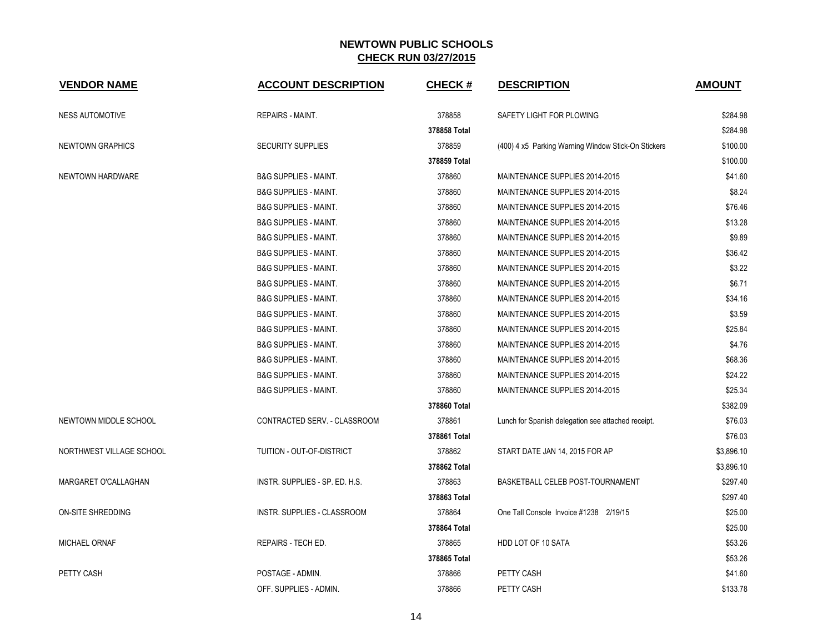| <b>VENDOR NAME</b>       | <b>ACCOUNT DESCRIPTION</b>       | <b>CHECK#</b> | <b>DESCRIPTION</b>                                  | <b>AMOUNT</b> |
|--------------------------|----------------------------------|---------------|-----------------------------------------------------|---------------|
| <b>NESS AUTOMOTIVE</b>   | REPAIRS - MAINT.                 | 378858        | SAFETY LIGHT FOR PLOWING                            | \$284.98      |
|                          |                                  | 378858 Total  |                                                     | \$284.98      |
| NEWTOWN GRAPHICS         | <b>SECURITY SUPPLIES</b>         | 378859        | (400) 4 x5 Parking Warning Window Stick-On Stickers | \$100.00      |
|                          |                                  | 378859 Total  |                                                     | \$100.00      |
| NEWTOWN HARDWARE         | <b>B&amp;G SUPPLIES - MAINT.</b> | 378860        | MAINTENANCE SUPPLIES 2014-2015                      | \$41.60       |
|                          | <b>B&amp;G SUPPLIES - MAINT.</b> | 378860        | MAINTENANCE SUPPLIES 2014-2015                      | \$8.24        |
|                          | <b>B&amp;G SUPPLIES - MAINT.</b> | 378860        | MAINTENANCE SUPPLIES 2014-2015                      | \$76.46       |
|                          | <b>B&amp;G SUPPLIES - MAINT.</b> | 378860        | MAINTENANCE SUPPLIES 2014-2015                      | \$13.28       |
|                          | <b>B&amp;G SUPPLIES - MAINT.</b> | 378860        | MAINTENANCE SUPPLIES 2014-2015                      | \$9.89        |
|                          | <b>B&amp;G SUPPLIES - MAINT.</b> | 378860        | MAINTENANCE SUPPLIES 2014-2015                      | \$36.42       |
|                          | <b>B&amp;G SUPPLIES - MAINT.</b> | 378860        | MAINTENANCE SUPPLIES 2014-2015                      | \$3.22        |
|                          | <b>B&amp;G SUPPLIES - MAINT.</b> | 378860        | MAINTENANCE SUPPLIES 2014-2015                      | \$6.71        |
|                          | <b>B&amp;G SUPPLIES - MAINT.</b> | 378860        | MAINTENANCE SUPPLIES 2014-2015                      | \$34.16       |
|                          | <b>B&amp;G SUPPLIES - MAINT.</b> | 378860        | MAINTENANCE SUPPLIES 2014-2015                      | \$3.59        |
|                          | <b>B&amp;G SUPPLIES - MAINT.</b> | 378860        | MAINTENANCE SUPPLIES 2014-2015                      | \$25.84       |
|                          | <b>B&amp;G SUPPLIES - MAINT.</b> | 378860        | MAINTENANCE SUPPLIES 2014-2015                      | \$4.76        |
|                          | <b>B&amp;G SUPPLIES - MAINT.</b> | 378860        | MAINTENANCE SUPPLIES 2014-2015                      | \$68.36       |
|                          | <b>B&amp;G SUPPLIES - MAINT.</b> | 378860        | MAINTENANCE SUPPLIES 2014-2015                      | \$24.22       |
|                          | <b>B&amp;G SUPPLIES - MAINT.</b> | 378860        | MAINTENANCE SUPPLIES 2014-2015                      | \$25.34       |
|                          |                                  | 378860 Total  |                                                     | \$382.09      |
| NEWTOWN MIDDLE SCHOOL    | CONTRACTED SERV. - CLASSROOM     | 378861        | Lunch for Spanish delegation see attached receipt.  | \$76.03       |
|                          |                                  | 378861 Total  |                                                     | \$76.03       |
| NORTHWEST VILLAGE SCHOOL | TUITION - OUT-OF-DISTRICT        | 378862        | START DATE JAN 14, 2015 FOR AP                      | \$3,896.10    |
|                          |                                  | 378862 Total  |                                                     | \$3,896.10    |
| MARGARET O'CALLAGHAN     | INSTR. SUPPLIES - SP. ED. H.S.   | 378863        | BASKETBALL CELEB POST-TOURNAMENT                    | \$297.40      |
|                          |                                  | 378863 Total  |                                                     | \$297.40      |
| ON-SITE SHREDDING        | INSTR. SUPPLIES - CLASSROOM      | 378864        | One Tall Console Invoice #1238 2/19/15              | \$25.00       |
|                          |                                  | 378864 Total  |                                                     | \$25.00       |
| MICHAEL ORNAF            | REPAIRS - TECH ED.               | 378865        | HDD LOT OF 10 SATA                                  | \$53.26       |
|                          |                                  | 378865 Total  |                                                     | \$53.26       |
| <b>PETTY CASH</b>        | POSTAGE - ADMIN.                 | 378866        | PETTY CASH                                          | \$41.60       |
|                          | OFF. SUPPLIES - ADMIN.           | 378866        | PETTY CASH                                          | \$133.78      |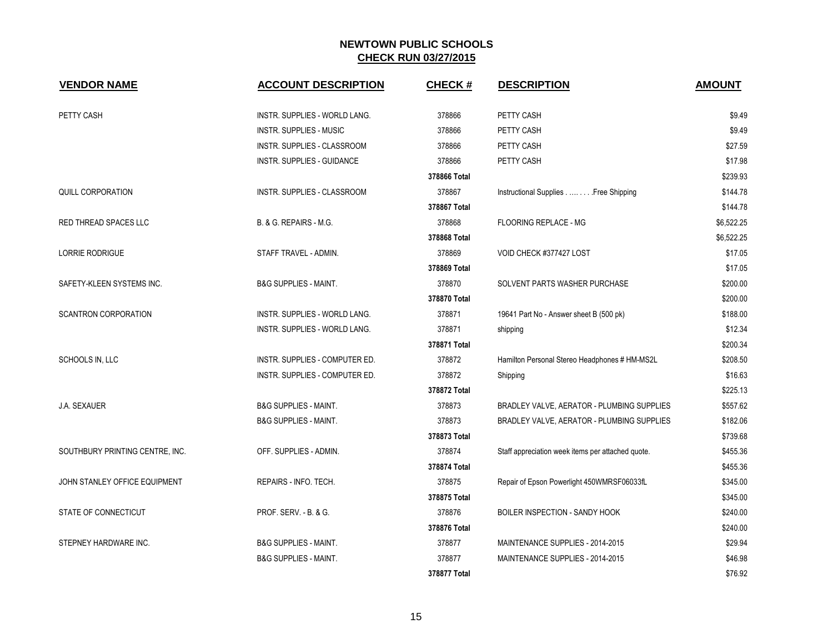| <b>VENDOR NAME</b>              | <b>ACCOUNT DESCRIPTION</b>        | <b>CHECK#</b> | <b>DESCRIPTION</b>                                | <b>AMOUNT</b> |
|---------------------------------|-----------------------------------|---------------|---------------------------------------------------|---------------|
| PETTY CASH                      | INSTR. SUPPLIES - WORLD LANG.     | 378866        | PETTY CASH                                        | \$9.49        |
|                                 | <b>INSTR. SUPPLIES - MUSIC</b>    | 378866        | PETTY CASH                                        | \$9.49        |
|                                 | INSTR. SUPPLIES - CLASSROOM       | 378866        | PETTY CASH                                        | \$27.59       |
|                                 | <b>INSTR. SUPPLIES - GUIDANCE</b> | 378866        | PETTY CASH                                        | \$17.98       |
|                                 |                                   | 378866 Total  |                                                   | \$239.93      |
| <b>QUILL CORPORATION</b>        | INSTR. SUPPLIES - CLASSROOM       | 378867        | Instructional Supplies Free Shipping              | \$144.78      |
|                                 |                                   | 378867 Total  |                                                   | \$144.78      |
| RED THREAD SPACES LLC           | B. & G. REPAIRS - M.G.            | 378868        | <b>FLOORING REPLACE - MG</b>                      | \$6,522.25    |
|                                 |                                   | 378868 Total  |                                                   | \$6,522.25    |
| <b>LORRIE RODRIGUE</b>          | STAFF TRAVEL - ADMIN.             | 378869        | VOID CHECK #377427 LOST                           | \$17.05       |
|                                 |                                   | 378869 Total  |                                                   | \$17.05       |
| SAFETY-KLEEN SYSTEMS INC.       | <b>B&amp;G SUPPLIES - MAINT.</b>  | 378870        | SOLVENT PARTS WASHER PURCHASE                     | \$200.00      |
|                                 |                                   | 378870 Total  |                                                   | \$200.00      |
| <b>SCANTRON CORPORATION</b>     | INSTR. SUPPLIES - WORLD LANG.     | 378871        | 19641 Part No - Answer sheet B (500 pk)           | \$188.00      |
|                                 | INSTR. SUPPLIES - WORLD LANG.     | 378871        | shipping                                          | \$12.34       |
|                                 |                                   | 378871 Total  |                                                   | \$200.34      |
| SCHOOLS IN, LLC                 | INSTR. SUPPLIES - COMPUTER ED.    | 378872        | Hamilton Personal Stereo Headphones # HM-MS2L     | \$208.50      |
|                                 | INSTR. SUPPLIES - COMPUTER ED.    | 378872        | Shipping                                          | \$16.63       |
|                                 |                                   | 378872 Total  |                                                   | \$225.13      |
| J.A. SEXAUER                    | <b>B&amp;G SUPPLIES - MAINT.</b>  | 378873        | BRADLEY VALVE, AERATOR - PLUMBING SUPPLIES        | \$557.62      |
|                                 | <b>B&amp;G SUPPLIES - MAINT.</b>  | 378873        | BRADLEY VALVE, AERATOR - PLUMBING SUPPLIES        | \$182.06      |
|                                 |                                   | 378873 Total  |                                                   | \$739.68      |
| SOUTHBURY PRINTING CENTRE, INC. | OFF. SUPPLIES - ADMIN.            | 378874        | Staff appreciation week items per attached quote. | \$455.36      |
|                                 |                                   | 378874 Total  |                                                   | \$455.36      |
| JOHN STANLEY OFFICE EQUIPMENT   | REPAIRS - INFO. TECH.             | 378875        | Repair of Epson Powerlight 450WMRSF06033fL        | \$345.00      |
|                                 |                                   | 378875 Total  |                                                   | \$345.00      |
| STATE OF CONNECTICUT            | PROF. SERV. - B. & G.             | 378876        | BOILER INSPECTION - SANDY HOOK                    | \$240.00      |
|                                 |                                   | 378876 Total  |                                                   | \$240.00      |
| STEPNEY HARDWARE INC.           | <b>B&amp;G SUPPLIES - MAINT.</b>  | 378877        | MAINTENANCE SUPPLIES - 2014-2015                  | \$29.94       |
|                                 | <b>B&amp;G SUPPLIES - MAINT.</b>  | 378877        | MAINTENANCE SUPPLIES - 2014-2015                  | \$46.98       |
|                                 |                                   | 378877 Total  |                                                   | \$76.92       |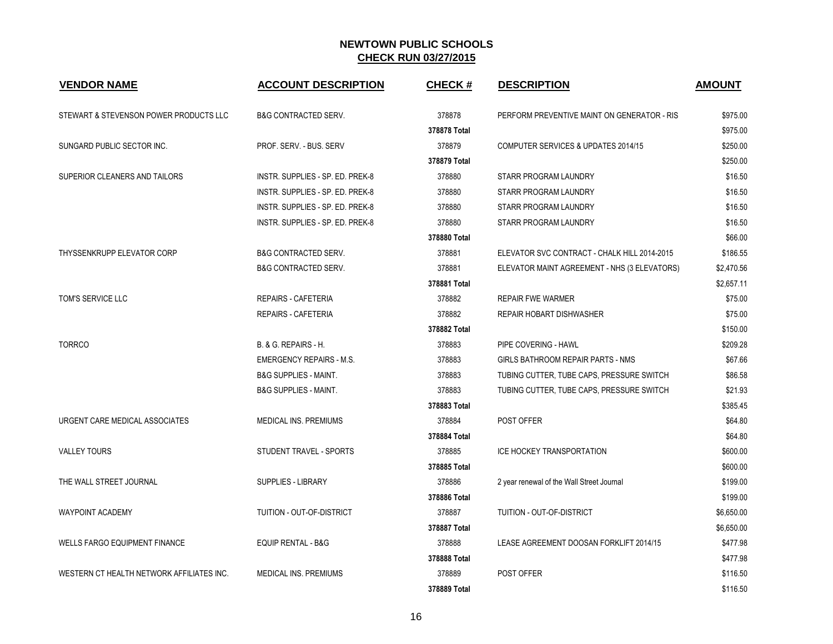| <b>VENDOR NAME</b>                        | <b>ACCOUNT DESCRIPTION</b>       | <b>CHECK#</b> | <b>DESCRIPTION</b>                           | <b>AMOUNT</b> |
|-------------------------------------------|----------------------------------|---------------|----------------------------------------------|---------------|
| STEWART & STEVENSON POWER PRODUCTS LLC    | <b>B&amp;G CONTRACTED SERV.</b>  | 378878        | PERFORM PREVENTIVE MAINT ON GENERATOR - RIS  | \$975.00      |
|                                           |                                  | 378878 Total  |                                              | \$975.00      |
| SUNGARD PUBLIC SECTOR INC.                | PROF. SERV. - BUS. SERV          | 378879        | COMPUTER SERVICES & UPDATES 2014/15          | \$250.00      |
|                                           |                                  | 378879 Total  |                                              | \$250.00      |
| SUPERIOR CLEANERS AND TAILORS             | INSTR. SUPPLIES - SP. ED. PREK-8 | 378880        | STARR PROGRAM LAUNDRY                        | \$16.50       |
|                                           | INSTR. SUPPLIES - SP. ED. PREK-8 | 378880        | STARR PROGRAM LAUNDRY                        | \$16.50       |
|                                           | INSTR. SUPPLIES - SP. ED. PREK-8 | 378880        | STARR PROGRAM LAUNDRY                        | \$16.50       |
|                                           | INSTR. SUPPLIES - SP. ED. PREK-8 | 378880        | STARR PROGRAM LAUNDRY                        | \$16.50       |
|                                           |                                  | 378880 Total  |                                              | \$66.00       |
| <b>THYSSENKRUPP ELEVATOR CORP</b>         | <b>B&amp;G CONTRACTED SERV.</b>  | 378881        | ELEVATOR SVC CONTRACT - CHALK HILL 2014-2015 | \$186.55      |
|                                           | <b>B&amp;G CONTRACTED SERV.</b>  | 378881        | ELEVATOR MAINT AGREEMENT - NHS (3 ELEVATORS) | \$2,470.56    |
|                                           |                                  | 378881 Total  |                                              | \$2,657.11    |
| TOM'S SERVICE LLC                         | <b>REPAIRS - CAFETERIA</b>       | 378882        | <b>REPAIR FWE WARMER</b>                     | \$75.00       |
|                                           | <b>REPAIRS - CAFETERIA</b>       | 378882        | REPAIR HOBART DISHWASHER                     | \$75.00       |
|                                           |                                  | 378882 Total  |                                              | \$150.00      |
| <b>TORRCO</b>                             | B. & G. REPAIRS - H.             | 378883        | PIPE COVERING - HAWL                         | \$209.28      |
|                                           | <b>EMERGENCY REPAIRS - M.S.</b>  | 378883        | GIRLS BATHROOM REPAIR PARTS - NMS            | \$67.66       |
|                                           | <b>B&amp;G SUPPLIES - MAINT.</b> | 378883        | TUBING CUTTER, TUBE CAPS, PRESSURE SWITCH    | \$86.58       |
|                                           | <b>B&amp;G SUPPLIES - MAINT.</b> | 378883        | TUBING CUTTER, TUBE CAPS, PRESSURE SWITCH    | \$21.93       |
|                                           |                                  | 378883 Total  |                                              | \$385.45      |
| URGENT CARE MEDICAL ASSOCIATES            | MEDICAL INS. PREMIUMS            | 378884        | POST OFFER                                   | \$64.80       |
|                                           |                                  | 378884 Total  |                                              | \$64.80       |
| <b>VALLEY TOURS</b>                       | STUDENT TRAVEL - SPORTS          | 378885        | ICE HOCKEY TRANSPORTATION                    | \$600.00      |
|                                           |                                  | 378885 Total  |                                              | \$600.00      |
| THE WALL STREET JOURNAL                   | SUPPLIES - LIBRARY               | 378886        | 2 year renewal of the Wall Street Journal    | \$199.00      |
|                                           |                                  | 378886 Total  |                                              | \$199.00      |
| <b>WAYPOINT ACADEMY</b>                   | TUITION - OUT-OF-DISTRICT        | 378887        | TUITION - OUT-OF-DISTRICT                    | \$6,650.00    |
|                                           |                                  | 378887 Total  |                                              | \$6,650.00    |
| <b>WELLS FARGO EQUIPMENT FINANCE</b>      | <b>EQUIP RENTAL - B&amp;G</b>    | 378888        | LEASE AGREEMENT DOOSAN FORKLIFT 2014/15      | \$477.98      |
|                                           |                                  | 378888 Total  |                                              | \$477.98      |
| WESTERN CT HEALTH NETWORK AFFILIATES INC. | MEDICAL INS. PREMIUMS            | 378889        | POST OFFER                                   | \$116.50      |
|                                           |                                  | 378889 Total  |                                              | \$116.50      |